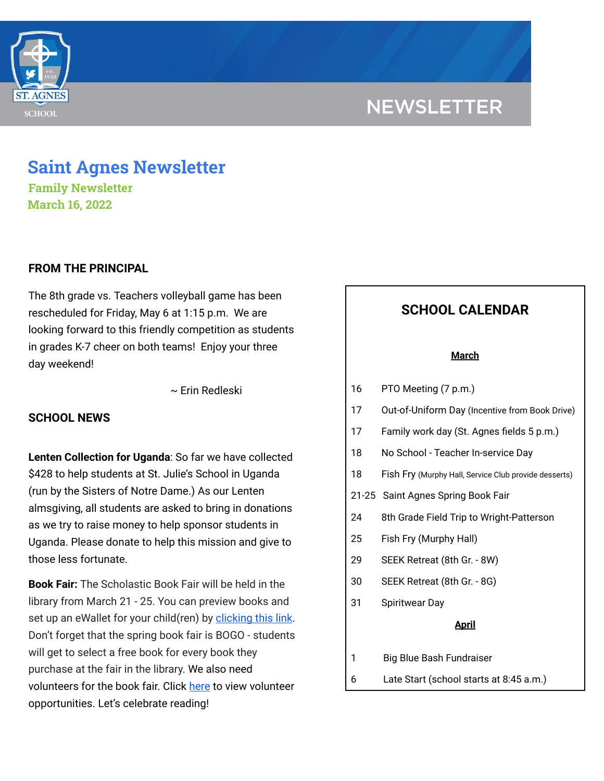

# **NEWSLETTER**

# **Saint Agnes Newsletter**

**Family Newsletter March 16, 2022**

# **FROM THE PRINCIPAL**

The 8th grade vs. Teachers volleyball game has been rescheduled for Friday, May 6 at 1:15 p.m. We are looking forward to this friendly competition as students in grades K-7 cheer on both teams! Enjoy your three day weekend!

~ Erin Redleski

# **SCHOOL NEWS**

**Lenten Collection for Uganda**: So far we have collected \$428 to help students at St. Julie's School in Uganda (run by the Sisters of Notre Dame.) As our Lenten almsgiving, all students are asked to bring in donations as we try to raise money to help sponsor students in Uganda. Please donate to help this mission and give to those less fortunate.

**Book Fair:** The Scholastic Book Fair will be held in the library from March 21 - 25. You can preview books and set up an eWallet for your child(ren) by [clicking](https://www.scholastic.com/bf/stagnesschool2) this link. Don't forget that the spring book fair is BOGO - students will get to select a free book for every book they purchase at the fair in the library. We also need volunteers for the book fair. Click [here](https://www.signupgenius.com/go/60B0F45AFA623A4FE3-book) to view volunteer opportunities. Let's celebrate reading!

# **SCHOOL CALENDAR**

#### **March**

- 16 PTO Meeting (7 p.m.)
- 17 Out-of-Uniform Day (Incentive from Book Drive)
- 17 Family work day (St. Agnes fields 5 p.m.)
- 18 No School Teacher In-service Day
- 18 Fish Fry (Murphy Hall, Service Club provide desserts)
- 21-25 Saint Agnes Spring Book Fair
- 24 8th Grade Field Trip to Wright-Patterson
- 25 Fish Fry (Murphy Hall)
- 29 SEEK Retreat (8th Gr. 8W)
- 30 SEEK Retreat (8th Gr. 8G)
- 31 Spiritwear Day

#### **April**

- 1 Big Blue Bash Fundraiser
- 6 Late Start (school starts at 8:45 a.m.)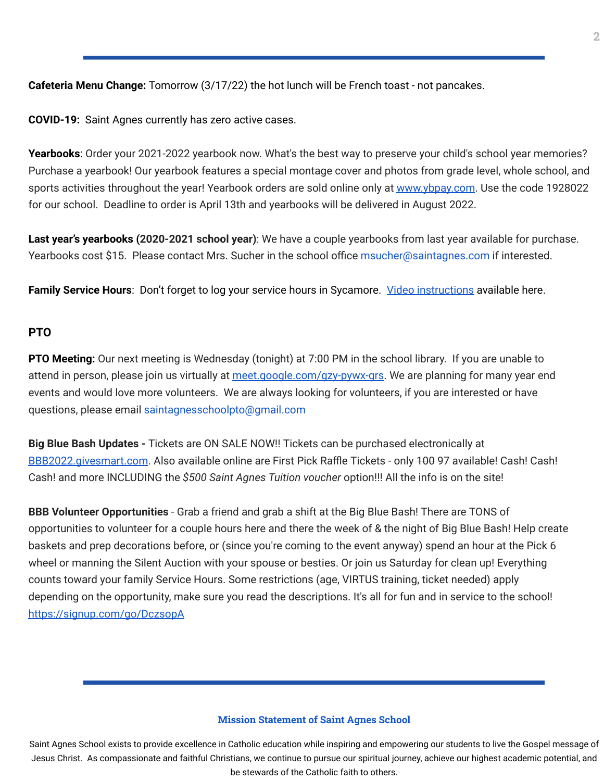**Cafeteria Menu Change:** Tomorrow (3/17/22) the hot lunch will be French toast - not pancakes.

**COVID-19:** Saint Agnes currently has zero active cases.

**Yearbooks**: Order your 2021-2022 yearbook now. What's the best way to preserve your child's school year memories? Purchase a yearbook! Our yearbook features a special montage cover and photos from grade level, whole school, and sports activities throughout the year! Yearbook orders are sold online only at [www.ybpay.com.](http://www.ybpay.lifetouch.com/) Use the code 1928022 for our school. Deadline to order is April 13th and yearbooks will be delivered in August 2022.

**Last year's yearbooks (2020-2021 school year)**: We have a couple yearbooks from last year available for purchase. Yearbooks cost \$15. Please contact Mrs. Sucher in the school office msucher@saintagnes.com if interested.

**Family Service Hours**: Don't forget to log your service hours in Sycamore. Video [instructions](https://drive.google.com/file/d/1cmYj9N-NF2btSiiG8QdTD20q2RJRpwk7/view?usp=sharing) available here.

## **PTO**

**PTO Meeting:** Our next meeting is Wednesday (tonight) at 7:00 PM in the school library. If you are unable to attend in person, please join us virtually at [meet.google.com/gzy-pywx-grs](http://meet.google.com/gzy-pywx-grs). We are planning for many year end events and would love more volunteers. We are always looking for volunteers, if you are interested or have questions, please email saintagnesschoolpto@gmail.com

**Big Blue Bash Updates -** Tickets are ON SALE NOW!! Tickets can be purchased electronically at [BBB2022.givesmart.com](http://bbb2022.givesmart.com/). Also available online are First Pick Raffle Tickets - only 400 97 available! Cash! Cash! Cash! and more INCLUDING the *\$500 Saint Agnes Tuition voucher* option!!! All the info is on the site!

**BBB Volunteer Opportunities** - Grab a friend and grab a shift at the Big Blue Bash! There are TONS of opportunities to volunteer for a couple hours here and there the week of & the night of Big Blue Bash! Help create baskets and prep decorations before, or (since you're coming to the event anyway) spend an hour at the Pick 6 wheel or manning the Silent Auction with your spouse or besties. Or join us Saturday for clean up! Everything counts toward your family Service Hours. Some restrictions (age, VIRTUS training, ticket needed) apply depending on the opportunity, make sure you read the descriptions. It's all for fun and in service to the school! <https://signup.com/go/DczsopA>

#### **Mission Statement of Saint Agnes School**

Saint Agnes School exists to provide excellence in Catholic education while inspiring and empowering our students to live the Gospel message of Jesus Christ. As compassionate and faithful Christians, we continue to pursue our spiritual journey, achieve our highest academic potential, and be stewards of the Catholic faith to others.